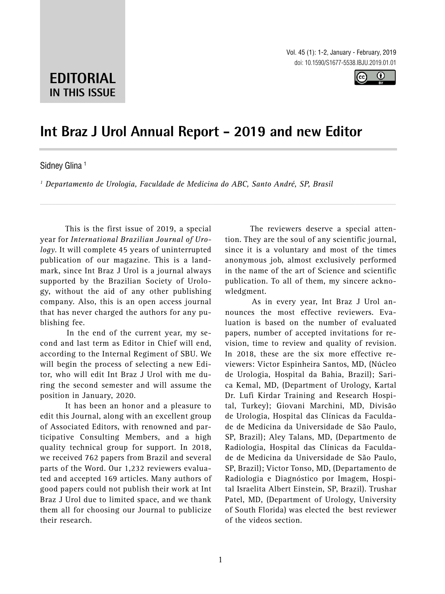Vol. 45 (1): 1-2, January - February, 2019 doi: 10.1590/S1677-5538.IBJU.2019.01.01



# **EDITORIAL IN THIS ISSUE**

## **Int Braz J Urol Annual Report - 2019 and new Editor \_\_\_\_\_\_\_\_\_\_\_\_\_\_\_\_\_\_\_\_\_\_\_\_\_\_\_\_\_\_\_\_\_\_\_\_\_\_\_\_\_\_\_\_\_\_\_**

*\_\_\_\_\_\_\_\_\_\_\_\_\_\_\_\_\_\_\_\_\_\_\_\_\_\_\_\_\_\_\_\_\_\_\_\_\_\_\_\_\_\_\_\_\_\_\_\_\_\_\_\_\_\_\_\_\_\_\_\_\_\_\_\_\_\_\_\_\_\_\_\_\_\_\_\_\_\_\_\_\_\_\_\_\_\_\_*

#### Sidney Glina<sup>1</sup>

*1 Departamento de Urologia, Faculdade de Medicina do ABC, Santo André, SP, Brasil*

This is the first issue of 2019, a special year for *International Brazilian Journal of Urology*. It will complete 45 years of uninterrupted publication of our magazine. This is a landmark, since Int Braz J Urol is a journal always supported by the Brazilian Society of Urology, without the aid of any other publishing company. Also, this is an open access journal that has never charged the authors for any publishing fee.

In the end of the current year, my second and last term as Editor in Chief will end, according to the Internal Regiment of SBU. We will begin the process of selecting a new Editor, who will edit Int Braz J Urol with me during the second semester and will assume the position in January, 2020.

It has been an honor and a pleasure to edit this Journal, along with an excellent group of Associated Editors, with renowned and participative Consulting Members, and a high quality technical group for support. In 2018, we received 762 papers from Brazil and several parts of the Word. Our 1,232 reviewers evaluated and accepted 169 articles. Many authors of good papers could not publish their work at Int Braz J Urol due to limited space, and we thank them all for choosing our Journal to publicize their research.

The reviewers deserve a special attention. They are the soul of any scientific journal, since it is a voluntary and most of the times anonymous job, almost exclusively performed in the name of the art of Science and scientific publication. To all of them, my sincere acknowledgment.

As in every year, Int Braz J Urol announces the most effective reviewers. Evaluation is based on the number of evaluated papers, number of accepted invitations for revision, time to review and quality of revision. In 2018, these are the six more effective reviewers: Victor Espinheira Santos, MD, (Núcleo de Urologia, Hospital da Bahia, Brazil); Sarica Kemal, MD, (Department of Urology, Kartal Dr. Lufi Kirdar Training and Research Hospital, Turkey); Giovani Marchini, MD, Divisão de Urologia, Hospital das Clínicas da Faculdade de Medicina da Universidade de São Paulo, SP, Brazil); Aley Talans, MD, (Departmento de Radiologia, Hospital das Clínicas da Faculdade de Medicina da Universidade de São Paulo, SP, Brazil); Victor Tonso, MD, (Departamento de Radiologia e Diagnóstico por Imagem, Hospital Israelita Albert Einstein, SP, Brazil). Trushar Patel, MD, (Department of Urology, University of South Florida) was elected the best reviewer of the videos section.